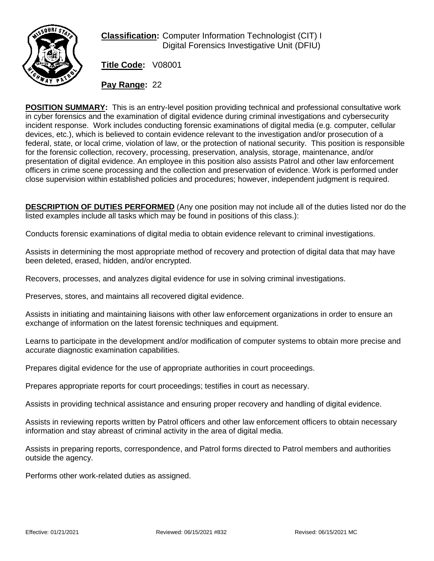

**Classification:** Computer Information Technologist (CIT) I Digital Forensics Investigative Unit (DFIU)

**Title Code:** V08001

**Pay Range:** 22

**POSITION SUMMARY:** This is an entry-level position providing technical and professional consultative work in cyber forensics and the examination of digital evidence during criminal investigations and cybersecurity incident response. Work includes conducting forensic examinations of digital media (e.g. computer, cellular devices, etc.), which is believed to contain evidence relevant to the investigation and/or prosecution of a federal, state, or local crime, violation of law, or the protection of national security. This position is responsible for the forensic collection, recovery, processing, preservation, analysis, storage, maintenance, and/or presentation of digital evidence. An employee in this position also assists Patrol and other law enforcement officers in crime scene processing and the collection and preservation of evidence. Work is performed under close supervision within established policies and procedures; however, independent judgment is required.

**DESCRIPTION OF DUTIES PERFORMED** (Any one position may not include all of the duties listed nor do the listed examples include all tasks which may be found in positions of this class.):

Conducts forensic examinations of digital media to obtain evidence relevant to criminal investigations.

Assists in determining the most appropriate method of recovery and protection of digital data that may have been deleted, erased, hidden, and/or encrypted.

Recovers, processes, and analyzes digital evidence for use in solving criminal investigations.

Preserves, stores, and maintains all recovered digital evidence.

Assists in initiating and maintaining liaisons with other law enforcement organizations in order to ensure an exchange of information on the latest forensic techniques and equipment.

Learns to participate in the development and/or modification of computer systems to obtain more precise and accurate diagnostic examination capabilities.

Prepares digital evidence for the use of appropriate authorities in court proceedings.

Prepares appropriate reports for court proceedings; testifies in court as necessary.

Assists in providing technical assistance and ensuring proper recovery and handling of digital evidence.

Assists in reviewing reports written by Patrol officers and other law enforcement officers to obtain necessary information and stay abreast of criminal activity in the area of digital media.

Assists in preparing reports, correspondence, and Patrol forms directed to Patrol members and authorities outside the agency.

Performs other work-related duties as assigned.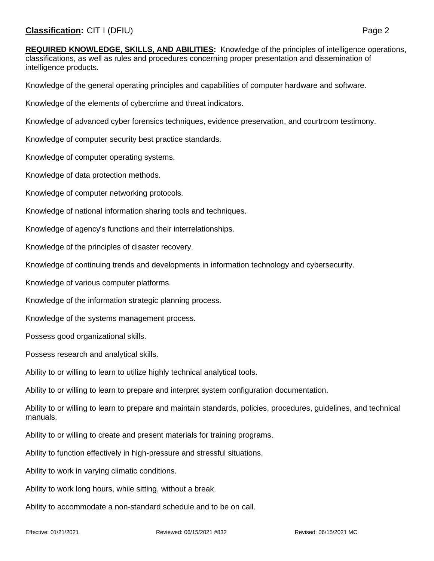**REQUIRED KNOWLEDGE, SKILLS, AND ABILITIES:** Knowledge of the principles of intelligence operations, classifications, as well as rules and procedures concerning proper presentation and dissemination of intelligence products.

Knowledge of the general operating principles and capabilities of computer hardware and software.

Knowledge of the elements of cybercrime and threat indicators.

Knowledge of advanced cyber forensics techniques, evidence preservation, and courtroom testimony.

Knowledge of computer security best practice standards.

Knowledge of computer operating systems.

Knowledge of data protection methods.

Knowledge of computer networking protocols.

Knowledge of national information sharing tools and techniques.

Knowledge of agency's functions and their interrelationships.

Knowledge of the principles of disaster recovery.

Knowledge of continuing trends and developments in information technology and cybersecurity.

Knowledge of various computer platforms.

Knowledge of the information strategic planning process.

Knowledge of the systems management process.

Possess good organizational skills.

Possess research and analytical skills.

Ability to or willing to learn to utilize highly technical analytical tools.

Ability to or willing to learn to prepare and interpret system configuration documentation.

Ability to or willing to learn to prepare and maintain standards, policies, procedures, guidelines, and technical manuals.

Ability to or willing to create and present materials for training programs.

Ability to function effectively in high-pressure and stressful situations.

Ability to work in varying climatic conditions.

Ability to work long hours, while sitting, without a break.

Ability to accommodate a non-standard schedule and to be on call.